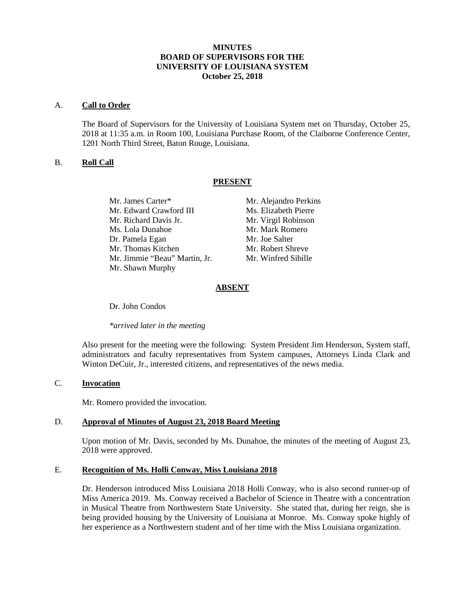# **MINUTES BOARD OF SUPERVISORS FOR THE UNIVERSITY OF LOUISIANA SYSTEM October 25, 2018**

#### A. **Call to Order**

The Board of Supervisors for the University of Louisiana System met on Thursday, October 25, 2018 at 11:35 a.m. in Room 100, Louisiana Purchase Room, of the Claiborne Conference Center, 1201 North Third Street, Baton Rouge, Louisiana.

# B. **Roll Call**

## **PRESENT**

Mr. James Carter\* Mr. Alejandro Perkins Mr. Edward Crawford III Ms. Elizabeth Pierre Mr. Richard Davis Jr. Mr. Virgil Robinson Ms. Lola Dunahoe Mr. Mark Romero Dr. Pamela Egan Mr. Joe Salter Mr. Thomas Kitchen Mr. Robert Shreve Mr. Jimmie "Beau" Martin, Jr. Mr. Winfred Sibille Mr. Shawn Murphy

# **ABSENT**

Dr. John Condos

*\*arrived later in the meeting*

Also present for the meeting were the following: System President Jim Henderson, System staff, administrators and faculty representatives from System campuses, Attorneys Linda Clark and Winton DeCuir, Jr., interested citizens, and representatives of the news media.

#### C. **Invocation**

Mr. Romero provided the invocation.

## D. **Approval of Minutes of August 23, 2018 Board Meeting**

Upon motion of Mr. Davis, seconded by Ms. Dunahoe, the minutes of the meeting of August 23, 2018 were approved.

## E. **Recognition of Ms. Holli Conway, Miss Louisiana 2018**

Dr. Henderson introduced Miss Louisiana 2018 Holli Conway, who is also second runner-up of Miss America 2019. Ms. Conway received a Bachelor of Science in Theatre with a concentration in Musical Theatre from Northwestern State University. She stated that, during her reign, she is being provided housing by the University of Louisiana at Monroe. Ms. Conway spoke highly of her experience as a Northwestern student and of her time with the Miss Louisiana organization.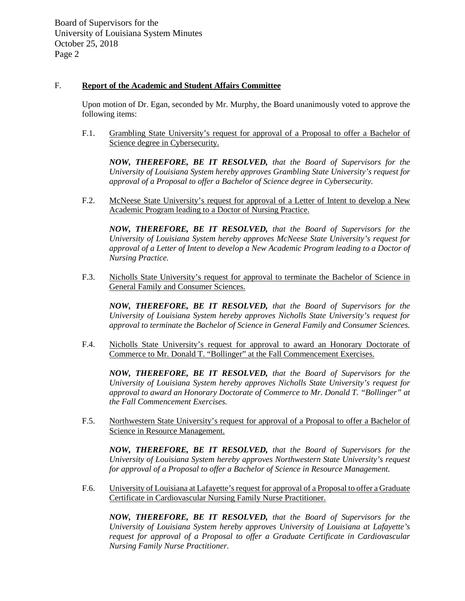### F. **Report of the Academic and Student Affairs Committee**

Upon motion of Dr. Egan, seconded by Mr. Murphy, the Board unanimously voted to approve the following items:

F.1. Grambling State University's request for approval of a Proposal to offer a Bachelor of Science degree in Cybersecurity.

*NOW, THEREFORE, BE IT RESOLVED, that the Board of Supervisors for the University of Louisiana System hereby approves Grambling State University's request for approval of a Proposal to offer a Bachelor of Science degree in Cybersecurity.*

F.2. McNeese State University's request for approval of a Letter of Intent to develop a New Academic Program leading to a Doctor of Nursing Practice.

*NOW, THEREFORE, BE IT RESOLVED, that the Board of Supervisors for the University of Louisiana System hereby approves McNeese State University's request for approval of a Letter of Intent to develop a New Academic Program leading to a Doctor of Nursing Practice.* 

F.3. Nicholls State University's request for approval to terminate the Bachelor of Science in General Family and Consumer Sciences.

*NOW, THEREFORE, BE IT RESOLVED, that the Board of Supervisors for the University of Louisiana System hereby approves Nicholls State University's request for approval to terminate the Bachelor of Science in General Family and Consumer Sciences.*

F.4. Nicholls State University's request for approval to award an Honorary Doctorate of Commerce to Mr. Donald T. "Bollinger" at the Fall Commencement Exercises.

*NOW, THEREFORE, BE IT RESOLVED, that the Board of Supervisors for the University of Louisiana System hereby approves Nicholls State University's request for approval to award an Honorary Doctorate of Commerce to Mr. Donald T. "Bollinger" at the Fall Commencement Exercises.* 

F.5. Northwestern State University's request for approval of a Proposal to offer a Bachelor of Science in Resource Management.

*NOW, THEREFORE, BE IT RESOLVED, that the Board of Supervisors for the University of Louisiana System hereby approves Northwestern State University's request for approval of a Proposal to offer a Bachelor of Science in Resource Management.*

F.6. University of Louisiana at Lafayette's request for approval of a Proposal to offer a Graduate Certificate in Cardiovascular Nursing Family Nurse Practitioner.

*NOW, THEREFORE, BE IT RESOLVED, that the Board of Supervisors for the University of Louisiana System hereby approves University of Louisiana at Lafayette's request for approval of a Proposal to offer a Graduate Certificate in Cardiovascular Nursing Family Nurse Practitioner.*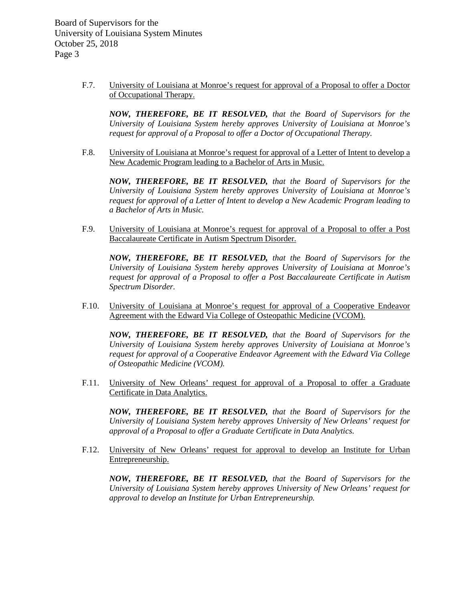> F.7. University of Louisiana at Monroe's request for approval of a Proposal to offer a Doctor of Occupational Therapy.

*NOW, THEREFORE, BE IT RESOLVED, that the Board of Supervisors for the University of Louisiana System hereby approves University of Louisiana at Monroe's request for approval of a Proposal to offer a Doctor of Occupational Therapy.*

F.8. University of Louisiana at Monroe's request for approval of a Letter of Intent to develop a New Academic Program leading to a Bachelor of Arts in Music.

*NOW, THEREFORE, BE IT RESOLVED, that the Board of Supervisors for the University of Louisiana System hereby approves University of Louisiana at Monroe's request for approval of a Letter of Intent to develop a New Academic Program leading to a Bachelor of Arts in Music.*

F.9. University of Louisiana at Monroe's request for approval of a Proposal to offer a Post Baccalaureate Certificate in Autism Spectrum Disorder.

*NOW, THEREFORE, BE IT RESOLVED, that the Board of Supervisors for the University of Louisiana System hereby approves University of Louisiana at Monroe's request for approval of a Proposal to offer a Post Baccalaureate Certificate in Autism Spectrum Disorder.*

F.10. University of Louisiana at Monroe's request for approval of a Cooperative Endeavor Agreement with the Edward Via College of Osteopathic Medicine (VCOM).

*NOW, THEREFORE, BE IT RESOLVED, that the Board of Supervisors for the University of Louisiana System hereby approves University of Louisiana at Monroe's request for approval of a Cooperative Endeavor Agreement with the Edward Via College of Osteopathic Medicine (VCOM).*

F.11. University of New Orleans' request for approval of a Proposal to offer a Graduate Certificate in Data Analytics.

*NOW, THEREFORE, BE IT RESOLVED, that the Board of Supervisors for the University of Louisiana System hereby approves University of New Orleans' request for approval of a Proposal to offer a Graduate Certificate in Data Analytics.*

F.12. University of New Orleans' request for approval to develop an Institute for Urban Entrepreneurship.

*NOW, THEREFORE, BE IT RESOLVED, that the Board of Supervisors for the University of Louisiana System hereby approves University of New Orleans' request for approval to develop an Institute for Urban Entrepreneurship.*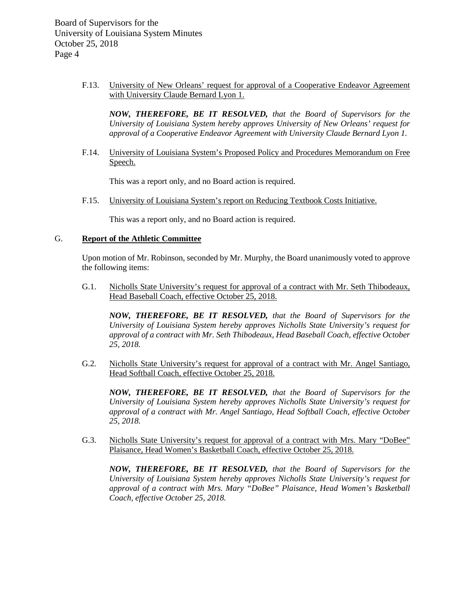> F.13. University of New Orleans' request for approval of a Cooperative Endeavor Agreement with University Claude Bernard Lyon 1.

*NOW, THEREFORE, BE IT RESOLVED, that the Board of Supervisors for the University of Louisiana System hereby approves University of New Orleans' request for approval of a Cooperative Endeavor Agreement with University Claude Bernard Lyon 1.*

F.14. University of Louisiana System's Proposed Policy and Procedures Memorandum on Free Speech.

This was a report only, and no Board action is required.

F.15. University of Louisiana System's report on Reducing Textbook Costs Initiative.

This was a report only, and no Board action is required.

#### G. **Report of the Athletic Committee**

Upon motion of Mr. Robinson, seconded by Mr. Murphy, the Board unanimously voted to approve the following items:

G.1. Nicholls State University's request for approval of a contract with Mr. Seth Thibodeaux, Head Baseball Coach, effective October 25, 2018.

*NOW, THEREFORE, BE IT RESOLVED, that the Board of Supervisors for the University of Louisiana System hereby approves Nicholls State University's request for approval of a contract with Mr. Seth Thibodeaux, Head Baseball Coach, effective October 25, 2018.*

G.2. Nicholls State University's request for approval of a contract with Mr. Angel Santiago, Head Softball Coach, effective October 25, 2018.

*NOW, THEREFORE, BE IT RESOLVED, that the Board of Supervisors for the University of Louisiana System hereby approves Nicholls State University's request for approval of a contract with Mr. Angel Santiago, Head Softball Coach, effective October 25, 2018.*

G.3. Nicholls State University's request for approval of a contract with Mrs. Mary "DoBee" Plaisance, Head Women's Basketball Coach, effective October 25, 2018.

*NOW, THEREFORE, BE IT RESOLVED, that the Board of Supervisors for the University of Louisiana System hereby approves Nicholls State University's request for approval of a contract with Mrs. Mary "DoBee" Plaisance, Head Women's Basketball Coach, effective October 25, 2018.*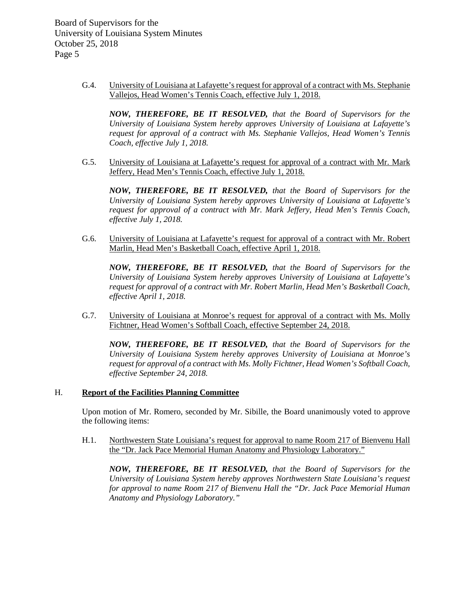> G.4. University of Louisiana at Lafayette's request for approval of a contract with Ms. Stephanie Vallejos, Head Women's Tennis Coach, effective July 1, 2018.

*NOW, THEREFORE, BE IT RESOLVED, that the Board of Supervisors for the University of Louisiana System hereby approves University of Louisiana at Lafayette's request for approval of a contract with Ms. Stephanie Vallejos, Head Women's Tennis Coach, effective July 1, 2018.*

G.5. University of Louisiana at Lafayette's request for approval of a contract with Mr. Mark Jeffery, Head Men's Tennis Coach, effective July 1, 2018.

*NOW, THEREFORE, BE IT RESOLVED, that the Board of Supervisors for the University of Louisiana System hereby approves University of Louisiana at Lafayette's request for approval of a contract with Mr. Mark Jeffery, Head Men's Tennis Coach, effective July 1, 2018.*

G.6. University of Louisiana at Lafayette's request for approval of a contract with Mr. Robert Marlin, Head Men's Basketball Coach, effective April 1, 2018.

*NOW, THEREFORE, BE IT RESOLVED, that the Board of Supervisors for the University of Louisiana System hereby approves University of Louisiana at Lafayette's request for approval of a contract with Mr. Robert Marlin, Head Men's Basketball Coach, effective April 1, 2018.*

G.7. University of Louisiana at Monroe's request for approval of a contract with Ms. Molly Fichtner, Head Women's Softball Coach, effective September 24, 2018.

*NOW, THEREFORE, BE IT RESOLVED, that the Board of Supervisors for the University of Louisiana System hereby approves University of Louisiana at Monroe's request for approval of a contract with Ms. Molly Fichtner, Head Women's Softball Coach, effective September 24, 2018.*

# H. **Report of the Facilities Planning Committee**

Upon motion of Mr. Romero, seconded by Mr. Sibille, the Board unanimously voted to approve the following items:

H.1. Northwestern State Louisiana's request for approval to name Room 217 of Bienvenu Hall the "Dr. Jack Pace Memorial Human Anatomy and Physiology Laboratory."

*NOW, THEREFORE, BE IT RESOLVED, that the Board of Supervisors for the University of Louisiana System hereby approves Northwestern State Louisiana's request for approval to name Room 217 of Bienvenu Hall the "Dr. Jack Pace Memorial Human Anatomy and Physiology Laboratory."*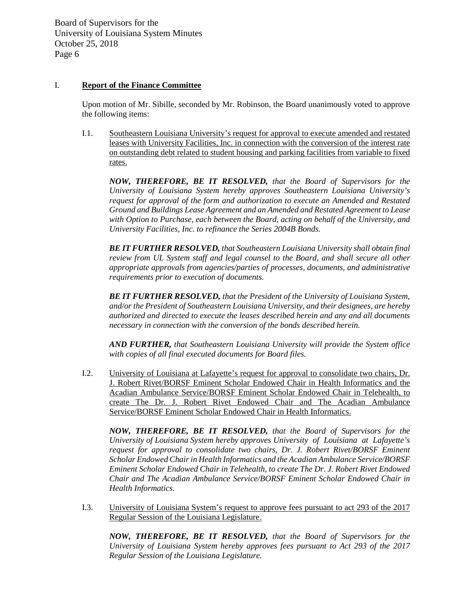## I. **Report of the Finance Committee**

Upon motion of Mr. Sibille, seconded by Mr. Robinson, the Board unanimously voted to approve the following items:

I.1. Southeastern Louisiana University's request for approval to execute amended and restated leases with University Facilities, Inc. in connection with the conversion of the interest rate on outstanding debt related to student housing and parking facilities from variable to fixed rates.

*NOW, THEREFORE, BE IT RESOLVED, that the Board of Supervisors for the University of Louisiana System hereby approves Southeastern Louisiana University's request for approval of the form and authorization to execute an Amended and Restated Ground and Buildings Lease Agreement and an Amended and Restated Agreement to Lease with Option to Purchase, each between the Board, acting on behalf of the University, and University Facilities, Inc. to refinance the Series 2004B Bonds.* 

*BE IT FURTHER RESOLVED, that Southeastern Louisiana University shall obtain final review from UL System staff and legal counsel to the Board, and shall secure all other appropriate approvals from agencies/parties of processes, documents, and administrative requirements prior to execution of documents.*

*BE IT FURTHER RESOLVED, that the President of the University of Louisiana System, and/or the President of Southeastern Louisiana University, and their designees, are hereby authorized and directed to execute the leases described herein and any and all documents necessary in connection with the conversion of the bonds described herein.*

*AND FURTHER, that Southeastern Louisiana University will provide the System office with copies of all final executed documents for Board files.*

I.2. University of Louisiana at Lafayette's request for approval to consolidate two chairs, Dr. J. Robert Rivet/BORSF Eminent Scholar Endowed Chair in Health Informatics and the Acadian Ambulance Service/BORSF Eminent Scholar Endowed Chair in Telehealth, to create The Dr. J. Robert Rivet Endowed Chair and The Acadian Ambulance Service/BORSF Eminent Scholar Endowed Chair in Health Informatics.

*NOW, THEREFORE, BE IT RESOLVED, that the Board of Supervisors for the University of Louisiana System hereby approves University of Louisiana at Lafayette's request for approval to consolidate two chairs, Dr. J. Robert Rivet/BORSF Eminent Scholar Endowed Chair in Health Informatics and the Acadian Ambulance Service/BORSF Eminent Scholar Endowed Chair in Telehealth, to create The Dr. J. Robert Rivet Endowed Chair and The Acadian Ambulance Service/BORSF Eminent Scholar Endowed Chair in Health Informatics.*

I.3. University of Louisiana System's request to approve fees pursuant to act 293 of the 2017 Regular Session of the Louisiana Legislature.

*NOW, THEREFORE, BE IT RESOLVED, that the Board of Supervisors for the University of Louisiana System hereby approves fees pursuant to Act 293 of the 2017 Regular Session of the Louisiana Legislature.*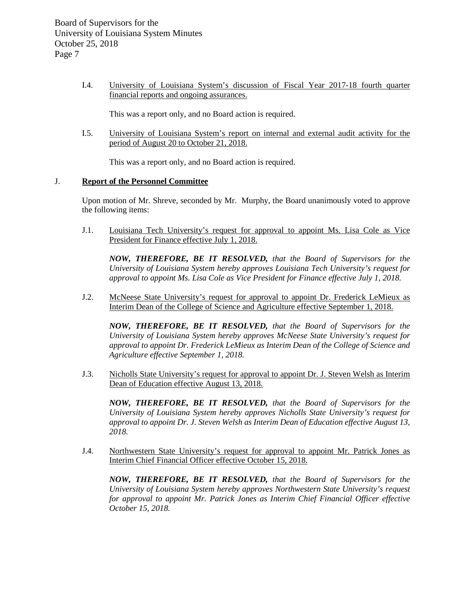I.4. University of Louisiana System's discussion of Fiscal Year 2017-18 fourth quarter financial reports and ongoing assurances.

This was a report only, and no Board action is required.

I.5. University of Louisiana System's report on internal and external audit activity for the period of August 20 to October 21, 2018.

This was a report only, and no Board action is required.

#### J. **Report of the Personnel Committee**

Upon motion of Mr. Shreve, seconded by Mr. Murphy, the Board unanimously voted to approve the following items:

J.1. Louisiana Tech University's request for approval to appoint Ms. Lisa Cole as Vice President for Finance effective July 1, 2018.

*NOW, THEREFORE, BE IT RESOLVED, that the Board of Supervisors for the University of Louisiana System hereby approves Louisiana Tech University's request for approval to appoint Ms. Lisa Cole as Vice President for Finance effective July 1, 2018.*

J.2. McNeese State University's request for approval to appoint Dr. Frederick LeMieux as Interim Dean of the College of Science and Agriculture effective September 1, 2018.

*NOW, THEREFORE, BE IT RESOLVED, that the Board of Supervisors for the University of Louisiana System hereby approves McNeese State University's request for approval to appoint Dr. Frederick LeMieux as Interim Dean of the College of Science and Agriculture effective September 1, 2018.*

J.3. Nicholls State University's request for approval to appoint Dr. J. Steven Welsh as Interim Dean of Education effective August 13, 2018.

*NOW, THEREFORE, BE IT RESOLVED, that the Board of Supervisors for the University of Louisiana System hereby approves Nicholls State University's request for approval to appoint Dr. J. Steven Welsh as Interim Dean of Education effective August 13, 2018.*

J.4. Northwestern State University's request for approval to appoint Mr. Patrick Jones as Interim Chief Financial Officer effective October 15, 2018.

*NOW, THEREFORE, BE IT RESOLVED, that the Board of Supervisors for the University of Louisiana System hereby approves Northwestern State University's request for approval to appoint Mr. Patrick Jones as Interim Chief Financial Officer effective October 15, 2018.*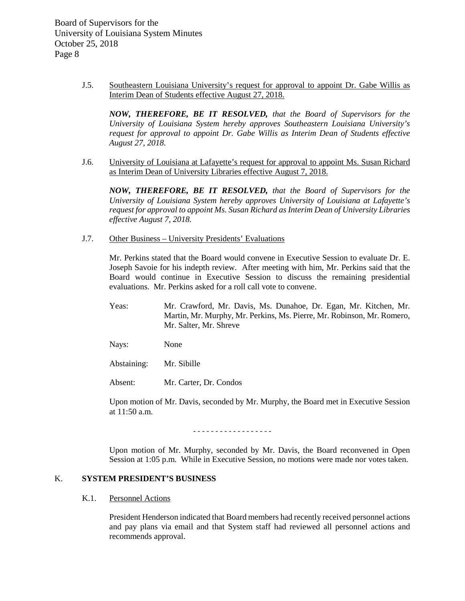> J.5. Southeastern Louisiana University's request for approval to appoint Dr. Gabe Willis as Interim Dean of Students effective August 27, 2018.

*NOW, THEREFORE, BE IT RESOLVED, that the Board of Supervisors for the University of Louisiana System hereby approves Southeastern Louisiana University's request for approval to appoint Dr. Gabe Willis as Interim Dean of Students effective August 27, 2018.*

J.6. University of Louisiana at Lafayette's request for approval to appoint Ms. Susan Richard as Interim Dean of University Libraries effective August 7, 2018.

*NOW, THEREFORE, BE IT RESOLVED, that the Board of Supervisors for the University of Louisiana System hereby approves University of Louisiana at Lafayette's request for approval to appoint Ms. Susan Richard as Interim Dean of University Libraries effective August 7, 2018.*

J.7. Other Business – University Presidents' Evaluations

Mr. Perkins stated that the Board would convene in Executive Session to evaluate Dr. E. Joseph Savoie for his indepth review. After meeting with him, Mr. Perkins said that the Board would continue in Executive Session to discuss the remaining presidential evaluations. Mr. Perkins asked for a roll call vote to convene.

Yeas: Mr. Crawford, Mr. Davis, Ms. Dunahoe, Dr. Egan, Mr. Kitchen, Mr. Martin, Mr. Murphy, Mr. Perkins, Ms. Pierre, Mr. Robinson, Mr. Romero, Mr. Salter, Mr. Shreve

Nays: None

Abstaining: Mr. Sibille

Absent: Mr. Carter, Dr. Condos

Upon motion of Mr. Davis, seconded by Mr. Murphy, the Board met in Executive Session at 11:50 a.m.

- - - - - - - - - - - - - - - - - -

Upon motion of Mr. Murphy, seconded by Mr. Davis, the Board reconvened in Open Session at 1:05 p.m. While in Executive Session, no motions were made nor votes taken.

## K. **SYSTEM PRESIDENT'S BUSINESS**

#### K.1. Personnel Actions

President Henderson indicated that Board members had recently received personnel actions and pay plans via email and that System staff had reviewed all personnel actions and recommends approval.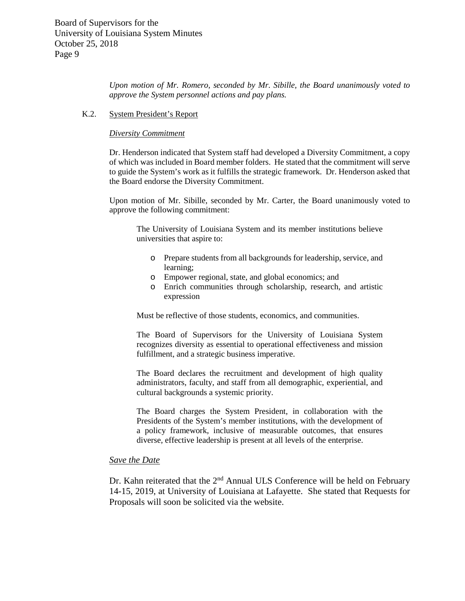*Upon motion of Mr. Romero, seconded by Mr. Sibille, the Board unanimously voted to approve the System personnel actions and pay plans.*

#### K.2. System President's Report

#### *Diversity Commitment*

Dr. Henderson indicated that System staff had developed a Diversity Commitment, a copy of which was included in Board member folders. He stated that the commitment will serve to guide the System's work as it fulfills the strategic framework. Dr. Henderson asked that the Board endorse the Diversity Commitment.

Upon motion of Mr. Sibille, seconded by Mr. Carter, the Board unanimously voted to approve the following commitment:

The University of Louisiana System and its member institutions believe universities that aspire to:

- o Prepare students from all backgrounds for leadership, service, and learning;
- o Empower regional, state, and global economics; and
- o Enrich communities through scholarship, research, and artistic expression

Must be reflective of those students, economics, and communities.

The Board of Supervisors for the University of Louisiana System recognizes diversity as essential to operational effectiveness and mission fulfillment, and a strategic business imperative.

The Board declares the recruitment and development of high quality administrators, faculty, and staff from all demographic, experiential, and cultural backgrounds a systemic priority.

The Board charges the System President, in collaboration with the Presidents of the System's member institutions, with the development of a policy framework, inclusive of measurable outcomes, that ensures diverse, effective leadership is present at all levels of the enterprise.

#### *Save the Date*

Dr. Kahn reiterated that the 2<sup>nd</sup> Annual ULS Conference will be held on February 14-15, 2019, at University of Louisiana at Lafayette. She stated that Requests for Proposals will soon be solicited via the website.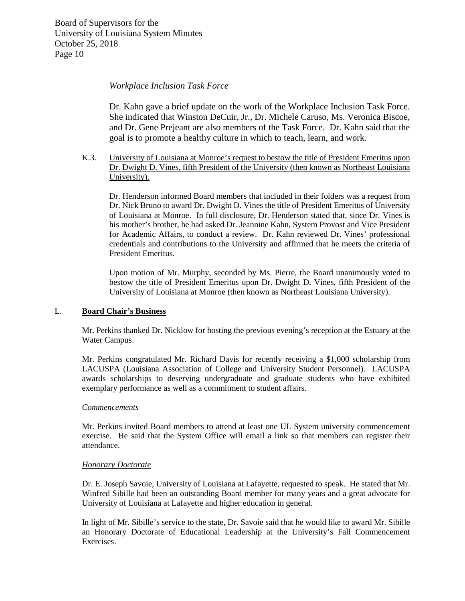# *Workplace Inclusion Task Force*

Dr. Kahn gave a brief update on the work of the Workplace Inclusion Task Force. She indicated that Winston DeCuir, Jr., Dr. Michele Caruso, Ms. Veronica Biscoe, and Dr. Gene Prejeant are also members of the Task Force. Dr. Kahn said that the goal is to promote a healthy culture in which to teach, learn, and work.

K.3. University of Louisiana at Monroe's request to bestow the title of President Emeritus upon Dr. Dwight D. Vines, fifth President of the University (then known as Northeast Louisiana University).

Dr. Henderson informed Board members that included in their folders was a request from Dr. Nick Bruno to award Dr. Dwight D. Vines the title of President Emeritus of University of Louisiana at Monroe. In full disclosure, Dr. Henderson stated that, since Dr. Vines is his mother's brother, he had asked Dr. Jeannine Kahn, System Provost and Vice President for Academic Affairs, to conduct a review. Dr. Kahn reviewed Dr. Vines' professional credentials and contributions to the University and affirmed that he meets the criteria of President Emeritus.

Upon motion of Mr. Murphy, seconded by Ms. Pierre, the Board unanimously voted to bestow the title of President Emeritus upon Dr. Dwight D. Vines, fifth President of the University of Louisiana at Monroe (then known as Northeast Louisiana University).

## L. **Board Chair's Business**

Mr. Perkins thanked Dr. Nicklow for hosting the previous evening's reception at the Estuary at the Water Campus.

Mr. Perkins congratulated Mr. Richard Davis for recently receiving a \$1,000 scholarship from LACUSPA (Louisiana Association of College and University Student Personnel). LACUSPA awards scholarships to deserving undergraduate and graduate students who have exhibited exemplary performance as well as a commitment to student affairs.

#### *Commencements*

Mr. Perkins invited Board members to attend at least one UL System university commencement exercise. He said that the System Office will email a link so that members can register their attendance.

#### *Honorary Doctorate*

Dr. E. Joseph Savoie, University of Louisiana at Lafayette, requested to speak. He stated that Mr. Winfred Sibille had been an outstanding Board member for many years and a great advocate for University of Louisiana at Lafayette and higher education in general.

In light of Mr. Sibille's service to the state, Dr. Savoie said that he would like to award Mr. Sibille an Honorary Doctorate of Educational Leadership at the University's Fall Commencement Exercises.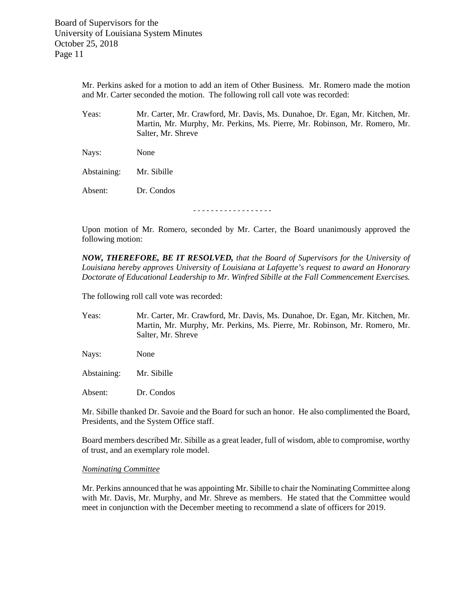> Mr. Perkins asked for a motion to add an item of Other Business. Mr. Romero made the motion and Mr. Carter seconded the motion. The following roll call vote was recorded:

> Yeas: Mr. Carter, Mr. Crawford, Mr. Davis, Ms. Dunahoe, Dr. Egan, Mr. Kitchen, Mr. Martin, Mr. Murphy, Mr. Perkins, Ms. Pierre, Mr. Robinson, Mr. Romero, Mr. Salter, Mr. Shreve

Nays: None

Abstaining: Mr. Sibille

Absent: Dr. Condos

- - - - - - - - - - - - - - - - - -

Upon motion of Mr. Romero, seconded by Mr. Carter, the Board unanimously approved the following motion:

*NOW, THEREFORE, BE IT RESOLVED, that the Board of Supervisors for the University of Louisiana hereby approves University of Louisiana at Lafayette's request to award an Honorary Doctorate of Educational Leadership to Mr. Winfred Sibille at the Fall Commencement Exercises.*

The following roll call vote was recorded:

Yeas: Mr. Carter, Mr. Crawford, Mr. Davis, Ms. Dunahoe, Dr. Egan, Mr. Kitchen, Mr. Martin, Mr. Murphy, Mr. Perkins, Ms. Pierre, Mr. Robinson, Mr. Romero, Mr. Salter, Mr. Shreve

Nays: None

Abstaining: Mr. Sibille

Absent: Dr. Condos

Mr. Sibille thanked Dr. Savoie and the Board for such an honor. He also complimented the Board, Presidents, and the System Office staff.

Board members described Mr. Sibille as a great leader, full of wisdom, able to compromise, worthy of trust, and an exemplary role model.

#### *Nominating Committee*

Mr. Perkins announced that he was appointing Mr. Sibille to chair the Nominating Committee along with Mr. Davis, Mr. Murphy, and Mr. Shreve as members. He stated that the Committee would meet in conjunction with the December meeting to recommend a slate of officers for 2019.